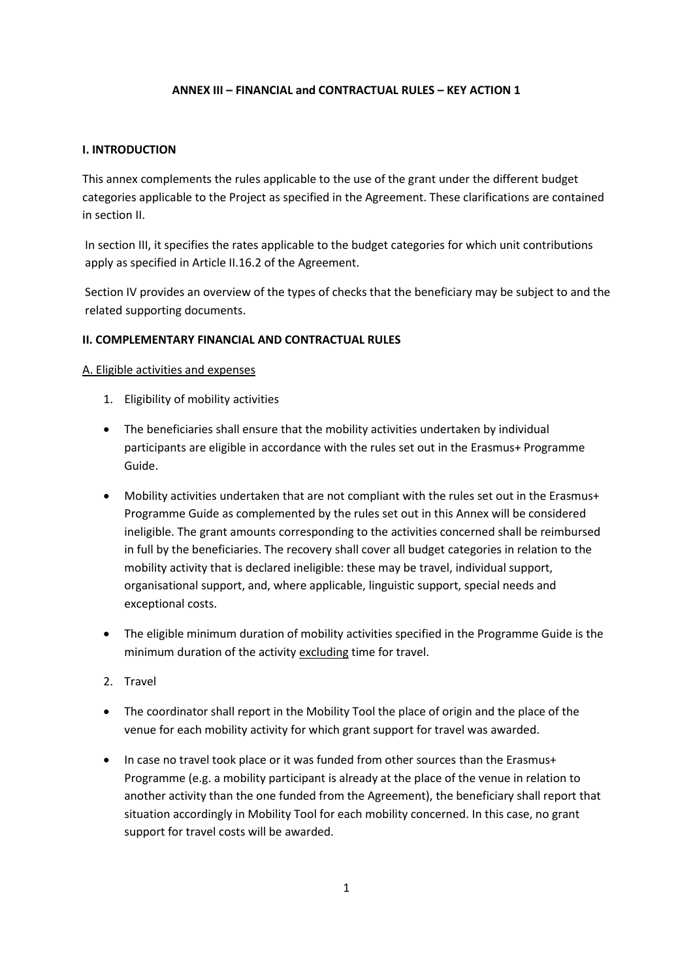#### **ANNEX III – FINANCIAL and CONTRACTUAL RULES – KEY ACTION 1**

#### **I. INTRODUCTION**

This annex complements the rules applicable to the use of the grant under the different budget categories applicable to the Project as specified in the Agreement. These clarifications are contained in section II.

In section III, it specifies the rates applicable to the budget categories for which unit contributions apply as specified in Article II.16.2 of the Agreement.

Section IV provides an overview of the types of checks that the beneficiary may be subject to and the related supporting documents.

#### **II. COMPLEMENTARY FINANCIAL AND CONTRACTUAL RULES**

#### A. Eligible activities and expenses

- 1. Eligibility of mobility activities
- The beneficiaries shall ensure that the mobility activities undertaken by individual participants are eligible in accordance with the rules set out in the Erasmus+ Programme Guide.
- Mobility activities undertaken that are not compliant with the rules set out in the Erasmus+ Programme Guide as complemented by the rules set out in this Annex will be considered ineligible. The grant amounts corresponding to the activities concerned shall be reimbursed in full by the beneficiaries. The recovery shall cover all budget categories in relation to the mobility activity that is declared ineligible: these may be travel, individual support, organisational support, and, where applicable, linguistic support, special needs and exceptional costs.
- The eligible minimum duration of mobility activities specified in the Programme Guide is the minimum duration of the activity excluding time for travel.
- 2. Travel
- The coordinator shall report in the Mobility Tool the place of origin and the place of the venue for each mobility activity for which grant support for travel was awarded.
- In case no travel took place or it was funded from other sources than the Erasmus+ Programme (e.g. a mobility participant is already at the place of the venue in relation to another activity than the one funded from the Agreement), the beneficiary shall report that situation accordingly in Mobility Tool for each mobility concerned. In this case, no grant support for travel costs will be awarded.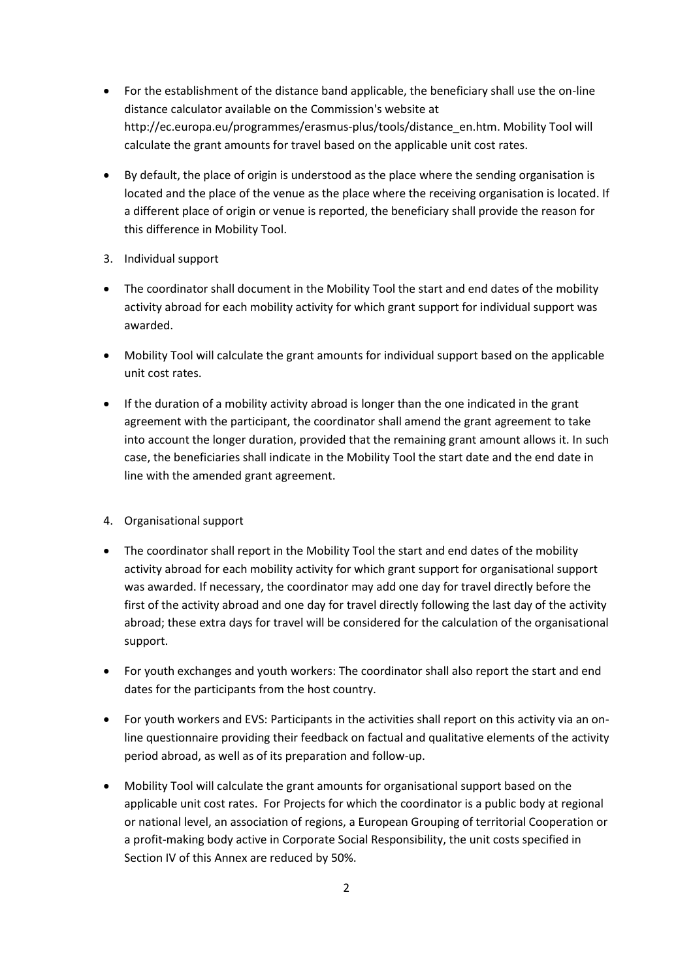- For the establishment of the distance band applicable, the beneficiary shall use the on-line distance calculator available on the Commission's website at http://ec.europa.eu/programmes/erasmus-plus/tools/distance\_en.htm. Mobility Tool will calculate the grant amounts for travel based on the applicable unit cost rates.
- By default, the place of origin is understood as the place where the sending organisation is located and the place of the venue as the place where the receiving organisation is located. If a different place of origin or venue is reported, the beneficiary shall provide the reason for this difference in Mobility Tool.
- 3. Individual support
- The coordinator shall document in the Mobility Tool the start and end dates of the mobility activity abroad for each mobility activity for which grant support for individual support was awarded.
- Mobility Tool will calculate the grant amounts for individual support based on the applicable unit cost rates.
- If the duration of a mobility activity abroad is longer than the one indicated in the grant agreement with the participant, the coordinator shall amend the grant agreement to take into account the longer duration, provided that the remaining grant amount allows it. In such case, the beneficiaries shall indicate in the Mobility Tool the start date and the end date in line with the amended grant agreement.
- 4. Organisational support
- The coordinator shall report in the Mobility Tool the start and end dates of the mobility activity abroad for each mobility activity for which grant support for organisational support was awarded. If necessary, the coordinator may add one day for travel directly before the first of the activity abroad and one day for travel directly following the last day of the activity abroad; these extra days for travel will be considered for the calculation of the organisational support.
- For youth exchanges and youth workers: The coordinator shall also report the start and end dates for the participants from the host country.
- For youth workers and EVS: Participants in the activities shall report on this activity via an online questionnaire providing their feedback on factual and qualitative elements of the activity period abroad, as well as of its preparation and follow-up.
- Mobility Tool will calculate the grant amounts for organisational support based on the applicable unit cost rates. For Projects for which the coordinator is a public body at regional or national level, an association of regions, a European Grouping of territorial Cooperation or a profit-making body active in Corporate Social Responsibility, the unit costs specified in Section IV of this Annex are reduced by 50%.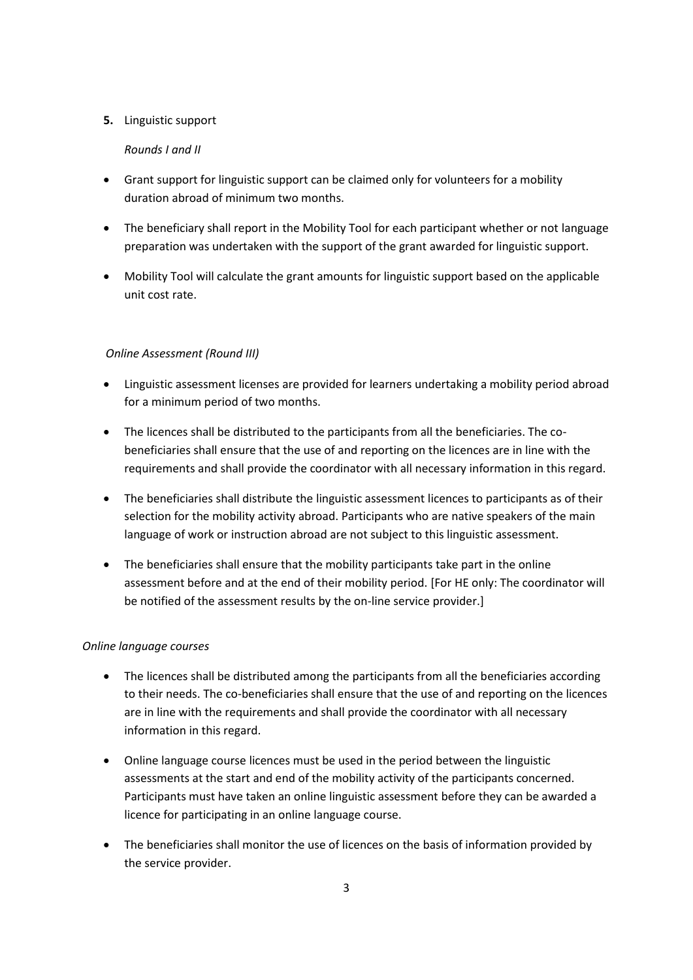### **5.** Linguistic support

### *Rounds I and II*

- Grant support for linguistic support can be claimed only for volunteers for a mobility duration abroad of minimum two months.
- The beneficiary shall report in the Mobility Tool for each participant whether or not language preparation was undertaken with the support of the grant awarded for linguistic support.
- Mobility Tool will calculate the grant amounts for linguistic support based on the applicable unit cost rate.

### *Online Assessment (Round III)*

- Linguistic assessment licenses are provided for learners undertaking a mobility period abroad for a minimum period of two months.
- The licences shall be distributed to the participants from all the beneficiaries. The cobeneficiaries shall ensure that the use of and reporting on the licences are in line with the requirements and shall provide the coordinator with all necessary information in this regard.
- The beneficiaries shall distribute the linguistic assessment licences to participants as of their selection for the mobility activity abroad. Participants who are native speakers of the main language of work or instruction abroad are not subject to this linguistic assessment.
- The beneficiaries shall ensure that the mobility participants take part in the online assessment before and at the end of their mobility period. [For HE only: The coordinator will be notified of the assessment results by the on-line service provider.]

### *Online language courses*

- The licences shall be distributed among the participants from all the beneficiaries according to their needs. The co-beneficiaries shall ensure that the use of and reporting on the licences are in line with the requirements and shall provide the coordinator with all necessary information in this regard.
- Online language course licences must be used in the period between the linguistic assessments at the start and end of the mobility activity of the participants concerned. Participants must have taken an online linguistic assessment before they can be awarded a licence for participating in an online language course.
- The beneficiaries shall monitor the use of licences on the basis of information provided by the service provider.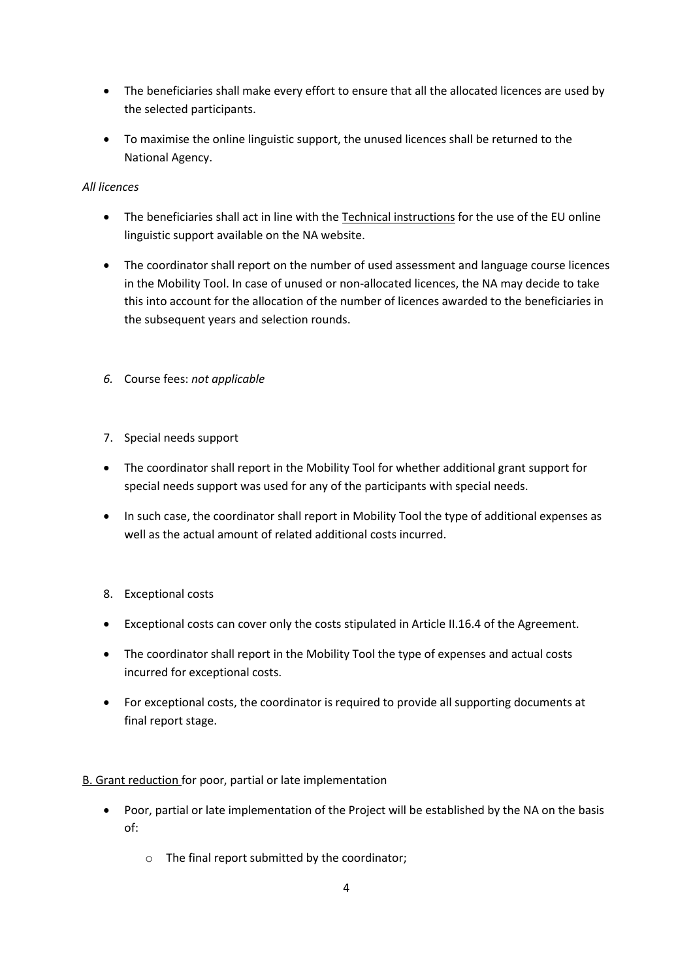- The beneficiaries shall make every effort to ensure that all the allocated licences are used by the selected participants.
- To maximise the online linguistic support, the unused licences shall be returned to the National Agency.

## *All licences*

- The beneficiaries shall act in line with the Technical instructions for the use of the EU online linguistic support available on the NA website.
- The coordinator shall report on the number of used assessment and language course licences in the Mobility Tool. In case of unused or non-allocated licences, the NA may decide to take this into account for the allocation of the number of licences awarded to the beneficiaries in the subsequent years and selection rounds.
- *6.* Course fees: *not applicable*
- 7. Special needs support
- The coordinator shall report in the Mobility Tool for whether additional grant support for special needs support was used for any of the participants with special needs.
- In such case, the coordinator shall report in Mobility Tool the type of additional expenses as well as the actual amount of related additional costs incurred.
- 8. Exceptional costs
- Exceptional costs can cover only the costs stipulated in Article II.16.4 of the Agreement.
- The coordinator shall report in the Mobility Tool the type of expenses and actual costs incurred for exceptional costs.
- For exceptional costs, the coordinator is required to provide all supporting documents at final report stage.

## B. Grant reduction for poor, partial or late implementation

- Poor, partial or late implementation of the Project will be established by the NA on the basis of:
	- o The final report submitted by the coordinator;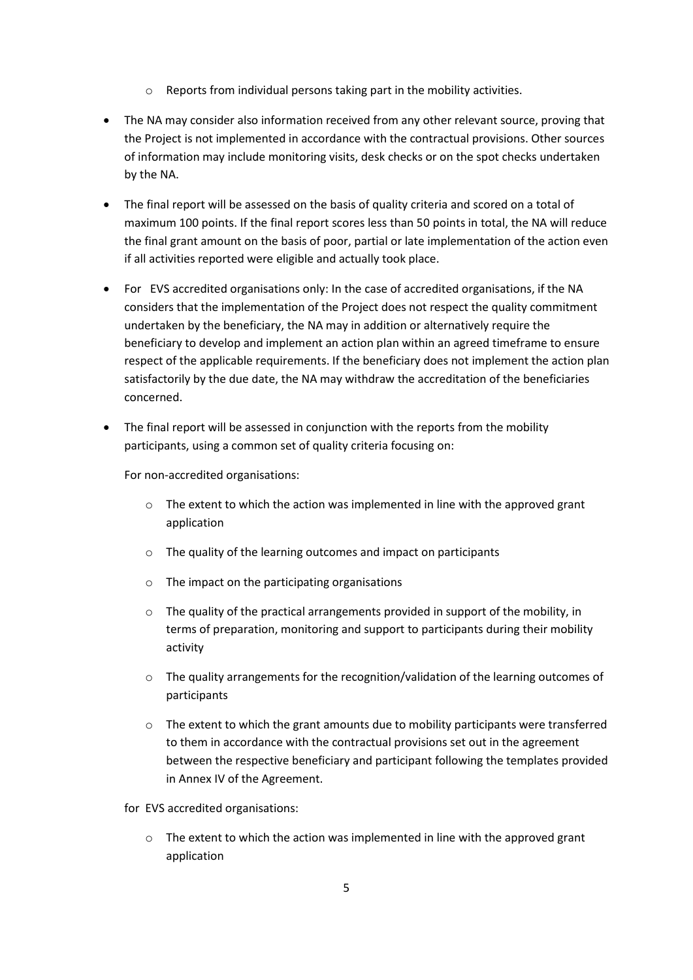- o Reports from individual persons taking part in the mobility activities.
- The NA may consider also information received from any other relevant source, proving that the Project is not implemented in accordance with the contractual provisions. Other sources of information may include monitoring visits, desk checks or on the spot checks undertaken by the NA.
- The final report will be assessed on the basis of quality criteria and scored on a total of maximum 100 points. If the final report scores less than 50 points in total, the NA will reduce the final grant amount on the basis of poor, partial or late implementation of the action even if all activities reported were eligible and actually took place.
- For EVS accredited organisations only: In the case of accredited organisations, if the NA considers that the implementation of the Project does not respect the quality commitment undertaken by the beneficiary, the NA may in addition or alternatively require the beneficiary to develop and implement an action plan within an agreed timeframe to ensure respect of the applicable requirements. If the beneficiary does not implement the action plan satisfactorily by the due date, the NA may withdraw the accreditation of the beneficiaries concerned.
- The final report will be assessed in conjunction with the reports from the mobility participants, using a common set of quality criteria focusing on:

For non-accredited organisations:

- $\circ$  The extent to which the action was implemented in line with the approved grant application
- o The quality of the learning outcomes and impact on participants
- o The impact on the participating organisations
- $\circ$  The quality of the practical arrangements provided in support of the mobility, in terms of preparation, monitoring and support to participants during their mobility activity
- $\circ$  The quality arrangements for the recognition/validation of the learning outcomes of participants
- $\circ$  The extent to which the grant amounts due to mobility participants were transferred to them in accordance with the contractual provisions set out in the agreement between the respective beneficiary and participant following the templates provided in Annex IV of the Agreement.

for EVS accredited organisations:

 $\circ$  The extent to which the action was implemented in line with the approved grant application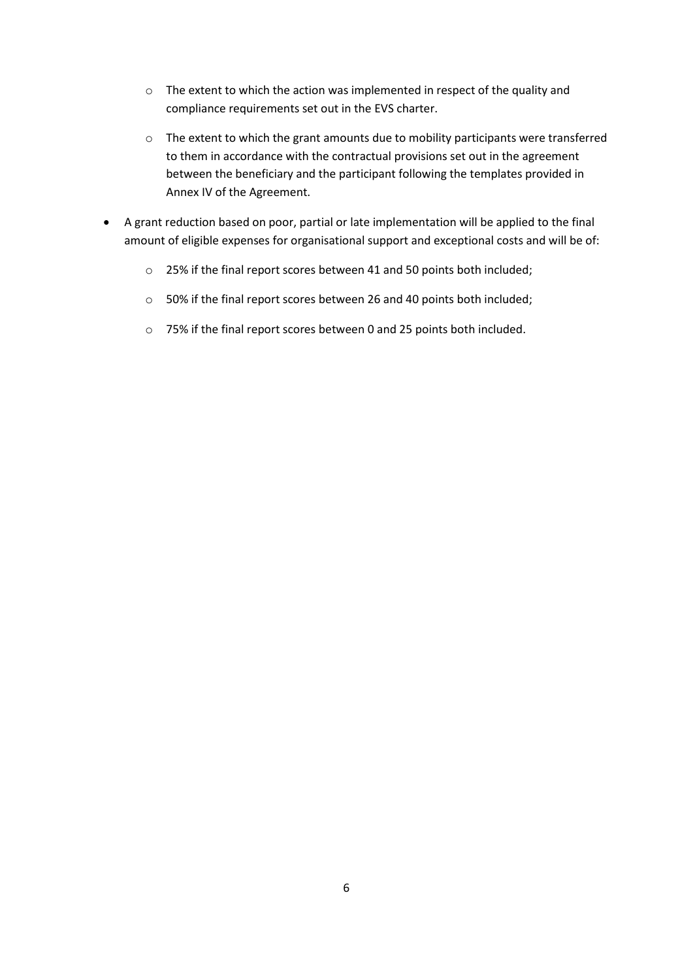- o The extent to which the action was implemented in respect of the quality and compliance requirements set out in the EVS charter.
- o The extent to which the grant amounts due to mobility participants were transferred to them in accordance with the contractual provisions set out in the agreement between the beneficiary and the participant following the templates provided in Annex IV of the Agreement.
- A grant reduction based on poor, partial or late implementation will be applied to the final amount of eligible expenses for organisational support and exceptional costs and will be of:
	- o 25% if the final report scores between 41 and 50 points both included;
	- o 50% if the final report scores between 26 and 40 points both included;
	- o 75% if the final report scores between 0 and 25 points both included.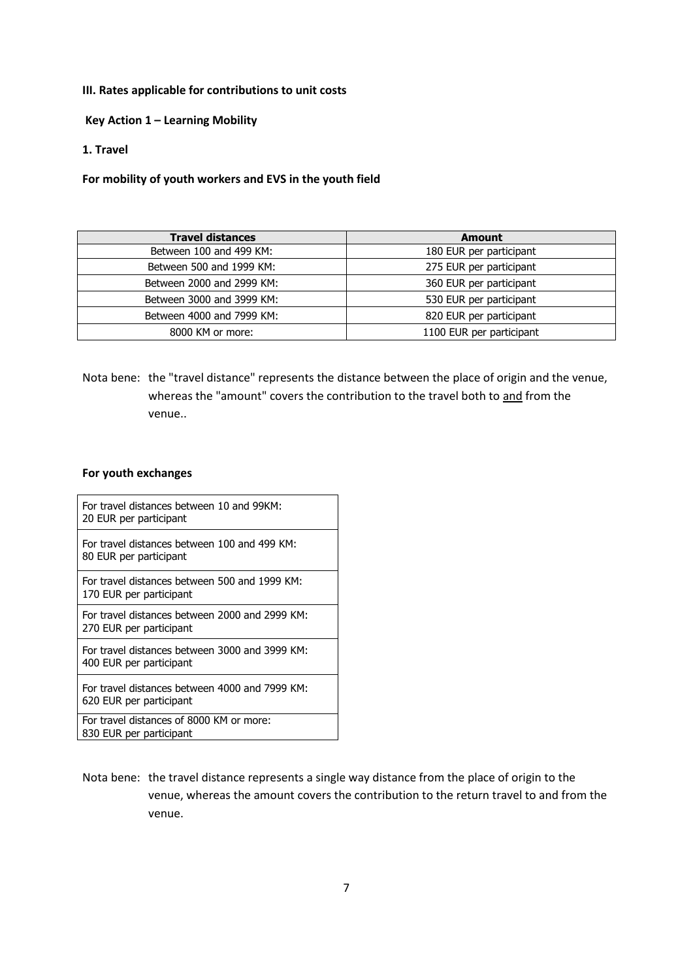#### **III. Rates applicable for contributions to unit costs**

**Key Action 1 – Learning Mobility**

#### **1. Travel**

**For mobility of youth workers and EVS in the youth field**

| <b>Travel distances</b>   | <b>Amount</b>            |
|---------------------------|--------------------------|
| Between 100 and 499 KM:   | 180 EUR per participant  |
| Between 500 and 1999 KM:  | 275 EUR per participant  |
| Between 2000 and 2999 KM: | 360 EUR per participant  |
| Between 3000 and 3999 KM: | 530 EUR per participant  |
| Between 4000 and 7999 KM: | 820 EUR per participant  |
| 8000 KM or more:          | 1100 EUR per participant |

Nota bene: the "travel distance" represents the distance between the place of origin and the venue, whereas the "amount" covers the contribution to the travel both to and from the venue..

#### **For youth exchanges**

| For travel distances between 10 and 99KM:<br>20 EUR per participant       |
|---------------------------------------------------------------------------|
| For travel distances between 100 and 499 KM:<br>80 EUR per participant    |
| For travel distances between 500 and 1999 KM:<br>170 EUR per participant  |
| For travel distances between 2000 and 2999 KM:<br>270 EUR per participant |
| For travel distances between 3000 and 3999 KM:<br>400 EUR per participant |
| For travel distances between 4000 and 7999 KM:<br>620 EUR per participant |
| For travel distances of 8000 KM or more:<br>830 EUR per participant       |

Nota bene: the travel distance represents a single way distance from the place of origin to the venue, whereas the amount covers the contribution to the return travel to and from the venue.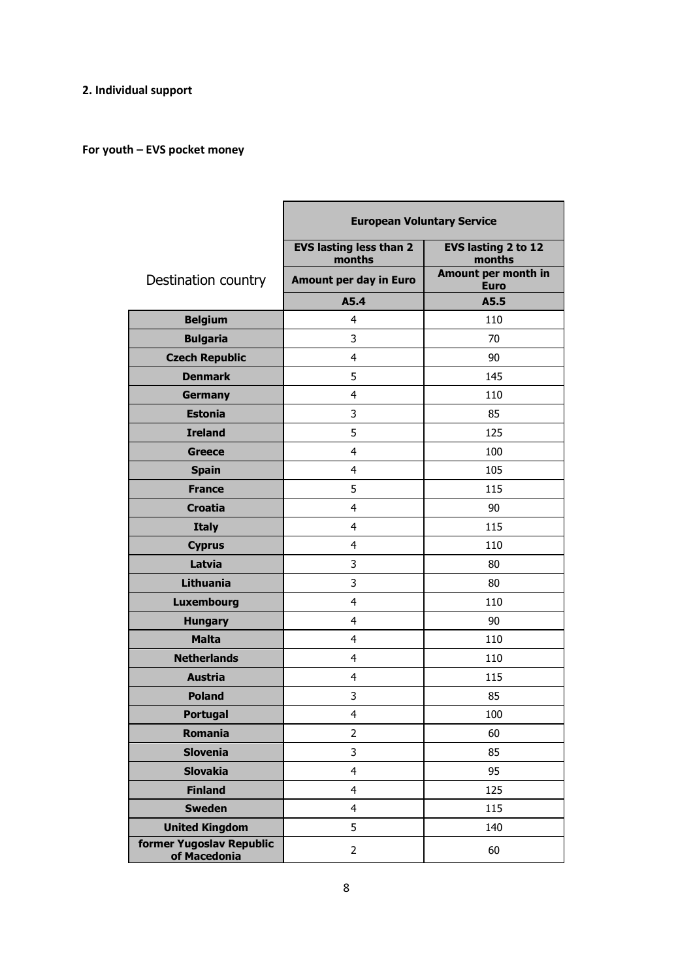## **2. Individual support**

# **For youth – EVS pocket money**

|                                          | <b>European Voluntary Service</b>        |                                    |  |
|------------------------------------------|------------------------------------------|------------------------------------|--|
|                                          | <b>EVS lasting less than 2</b><br>months | EVS lasting 2 to 12<br>months      |  |
| Destination country                      | Amount per day in Euro                   | Amount per month in<br><b>Euro</b> |  |
|                                          | A5.4                                     | A5.5                               |  |
| <b>Belgium</b>                           | 4                                        | 110                                |  |
| <b>Bulgaria</b>                          | 3                                        | 70                                 |  |
| <b>Czech Republic</b>                    | 4                                        | 90                                 |  |
| <b>Denmark</b>                           | 5                                        | 145                                |  |
| <b>Germany</b>                           | 4                                        | 110                                |  |
| <b>Estonia</b>                           | 3                                        | 85                                 |  |
| <b>Ireland</b>                           | 5                                        | 125                                |  |
| <b>Greece</b>                            | 4                                        | 100                                |  |
| <b>Spain</b>                             | 4                                        | 105                                |  |
| <b>France</b>                            | 5                                        | 115                                |  |
| <b>Croatia</b>                           | 4                                        | 90                                 |  |
| <b>Italy</b>                             | 4                                        | 115                                |  |
| <b>Cyprus</b>                            | 4                                        | 110                                |  |
| Latvia                                   | 3                                        | 80                                 |  |
| <b>Lithuania</b>                         | 3                                        | 80                                 |  |
| <b>Luxembourg</b>                        | 4                                        | 110                                |  |
| <b>Hungary</b>                           | $\overline{4}$                           | 90                                 |  |
| <b>Malta</b>                             | 4                                        | 110                                |  |
| <b>Netherlands</b>                       | 4                                        | 110                                |  |
| <b>Austria</b>                           | 4                                        | 115                                |  |
| <b>Poland</b>                            | 3                                        | 85                                 |  |
| <b>Portugal</b>                          | 4                                        | 100                                |  |
| Romania                                  | $\overline{2}$                           | 60                                 |  |
| <b>Slovenia</b>                          | 3                                        | 85                                 |  |
| <b>Slovakia</b>                          | 4                                        | 95                                 |  |
| <b>Finland</b>                           | 4                                        | 125                                |  |
| <b>Sweden</b>                            | 4                                        | 115                                |  |
| <b>United Kingdom</b>                    | 5                                        | 140                                |  |
| former Yugoslav Republic<br>of Macedonia | $\overline{2}$                           | 60                                 |  |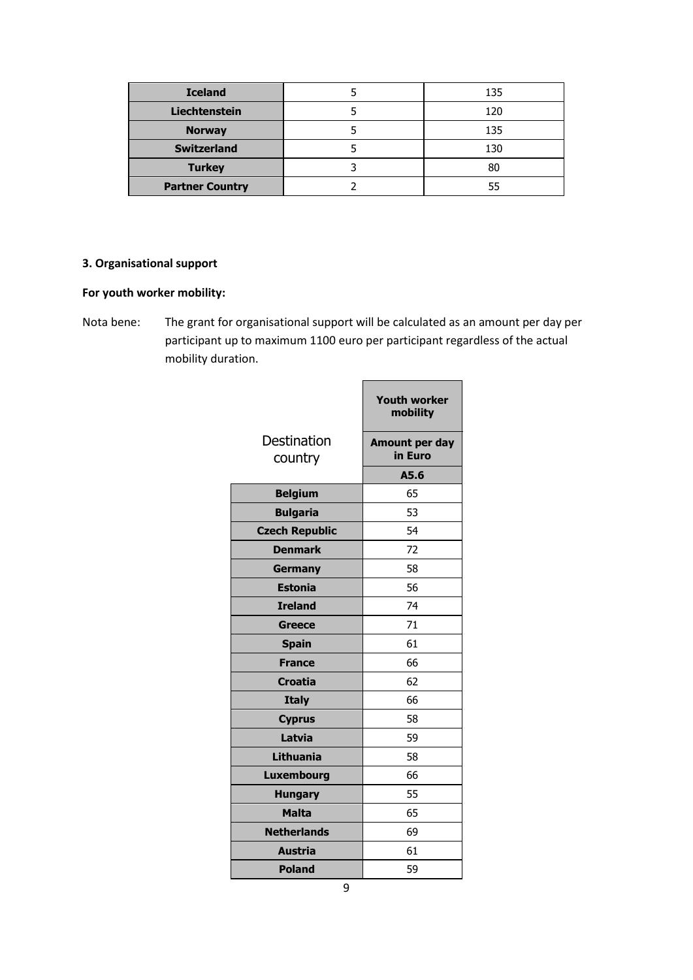| <b>Iceland</b>         | 135 |  |
|------------------------|-----|--|
| Liechtenstein          | 120 |  |
| <b>Norway</b>          | 135 |  |
| <b>Switzerland</b>     | 130 |  |
| <b>Turkey</b>          | 80  |  |
| <b>Partner Country</b> | 55  |  |

## **3. Organisational support**

## **For youth worker mobility:**

Nota bene: The grant for organisational support will be calculated as an amount per day per participant up to maximum 1100 euro per participant regardless of the actual mobility duration.

 $\blacksquare$ 

|                        | <b>Youth worker</b><br>mobility |
|------------------------|---------------------------------|
| Destination<br>country | Amount per day<br>in Euro       |
|                        | A5.6                            |
| <b>Belgium</b>         | 65                              |
| <b>Bulgaria</b>        | 53                              |
| <b>Czech Republic</b>  | 54                              |
| <b>Denmark</b>         | 72                              |
| <b>Germany</b>         | 58                              |
| <b>Estonia</b>         | 56                              |
| <b>Ireland</b>         | 74                              |
| <b>Greece</b>          | 71                              |
| <b>Spain</b>           | 61                              |
| <b>France</b>          | 66                              |
| <b>Croatia</b>         | 62                              |
| <b>Italy</b>           | 66                              |
| <b>Cyprus</b>          | 58                              |
| Latvia                 | 59                              |
| <b>Lithuania</b>       | 58                              |
| <b>Luxembourg</b>      | 66                              |
| <b>Hungary</b>         | 55                              |
| <b>Malta</b>           | 65                              |
| <b>Netherlands</b>     | 69                              |
| <b>Austria</b>         | 61                              |
| <b>Poland</b>          | 59                              |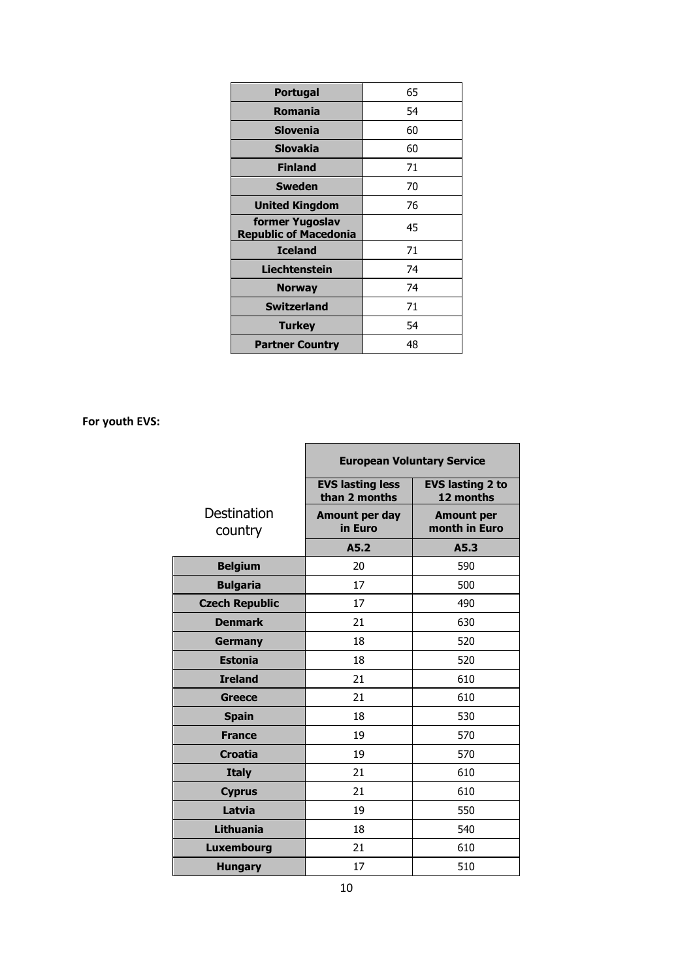| Portugal                                        | 65 |
|-------------------------------------------------|----|
| Romania                                         | 54 |
| Slovenia                                        | 60 |
| <b>Slovakia</b>                                 | 60 |
| <b>Finland</b>                                  | 71 |
| <b>Sweden</b>                                   | 70 |
| <b>United Kingdom</b>                           | 76 |
| former Yugoslav<br><b>Republic of Macedonia</b> | 45 |
| <b>Iceland</b>                                  | 71 |
| Liechtenstein                                   | 74 |
| <b>Norway</b>                                   | 74 |
| <b>Switzerland</b>                              | 71 |
| <b>Turkey</b>                                   | 54 |
| <b>Partner Country</b>                          | 48 |

**For youth EVS:** 

|                        | <b>European Voluntary Service</b>        |                                      |  |  |
|------------------------|------------------------------------------|--------------------------------------|--|--|
|                        | <b>EVS lasting less</b><br>than 2 months | <b>EVS lasting 2 to</b><br>12 months |  |  |
| Destination<br>country | Amount per day<br>in Euro                | <b>Amount per</b><br>month in Euro   |  |  |
|                        | A5.2                                     | A5.3                                 |  |  |
| <b>Belgium</b>         | 20                                       | 590                                  |  |  |
| <b>Bulgaria</b>        | 17                                       | 500                                  |  |  |
| <b>Czech Republic</b>  | 17                                       | 490                                  |  |  |
| <b>Denmark</b>         | 21                                       | 630                                  |  |  |
| Germany                | 18                                       | 520                                  |  |  |
| <b>Estonia</b>         | 18                                       | 520                                  |  |  |
| <b>Ireland</b>         | 21                                       | 610                                  |  |  |
| <b>Greece</b>          | 21                                       | 610                                  |  |  |
| <b>Spain</b>           | 18                                       | 530                                  |  |  |
| <b>France</b>          | 19                                       | 570                                  |  |  |
| <b>Croatia</b>         | 19                                       | 570                                  |  |  |
| <b>Italy</b>           | 21                                       | 610                                  |  |  |
| <b>Cyprus</b>          | 21                                       | 610                                  |  |  |
| Latvia                 | 19                                       | 550                                  |  |  |
| <b>Lithuania</b>       | 18                                       | 540                                  |  |  |
| <b>Luxembourg</b>      | 21                                       | 610                                  |  |  |
| <b>Hungary</b>         | 17                                       | 510                                  |  |  |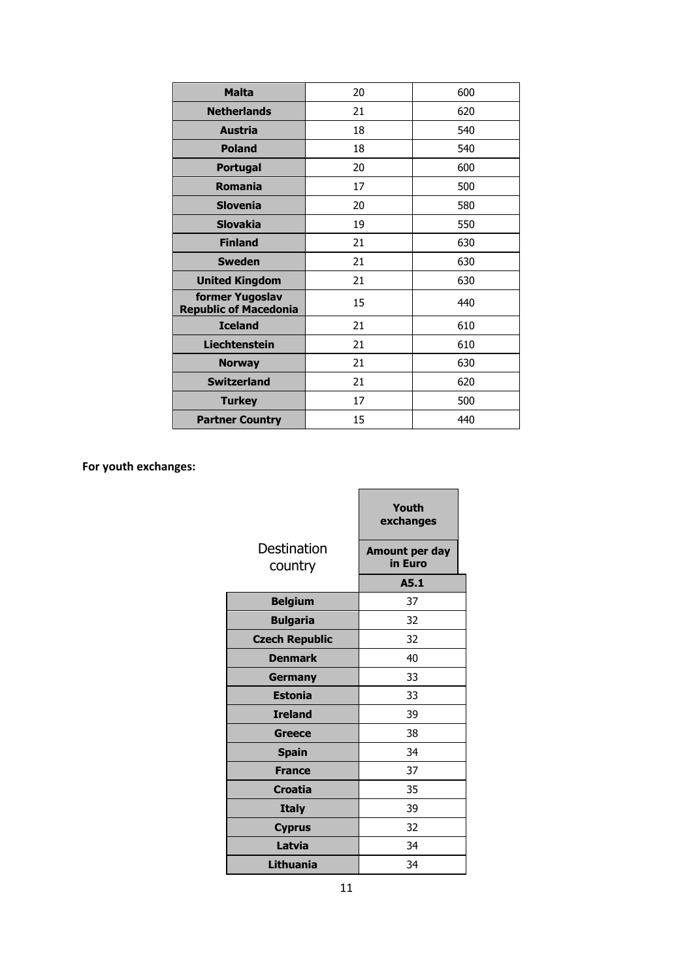| <b>Malta</b>                                    | 20 | 600 |
|-------------------------------------------------|----|-----|
| <b>Netherlands</b>                              | 21 | 620 |
| <b>Austria</b>                                  | 18 | 540 |
| <b>Poland</b>                                   | 18 | 540 |
| <b>Portugal</b>                                 | 20 | 600 |
| <b>Romania</b>                                  | 17 | 500 |
| <b>Slovenia</b>                                 | 20 | 580 |
| <b>Slovakia</b>                                 | 19 | 550 |
| <b>Finland</b>                                  | 21 | 630 |
| <b>Sweden</b>                                   | 21 | 630 |
| <b>United Kingdom</b>                           | 21 | 630 |
| former Yugoslav<br><b>Republic of Macedonia</b> | 15 | 440 |
| <b>Iceland</b>                                  | 21 | 610 |
| <b>Liechtenstein</b>                            | 21 | 610 |
| <b>Norway</b>                                   | 21 | 630 |
| <b>Switzerland</b>                              | 21 | 620 |
| <b>Turkey</b>                                   | 17 | 500 |
| <b>Partner Country</b>                          | 15 | 440 |

# **For youth exchanges:**

|                        | Youth<br>exchanges        |
|------------------------|---------------------------|
| Destination<br>country | Amount per day<br>in Euro |
|                        | A5.1                      |
| <b>Belgium</b>         | 37                        |
| <b>Bulgaria</b>        | 32                        |
| <b>Czech Republic</b>  | 32                        |
| <b>Denmark</b>         | 40                        |
| Germany                | 33                        |
| <b>Estonia</b>         | 33                        |
| <b>Ireland</b>         | 39                        |
| Greece                 | 38                        |
| <b>Spain</b>           | 34                        |
| <b>France</b>          | 37                        |
| <b>Croatia</b>         | 35                        |
| <b>Italy</b>           | 39                        |
| <b>Cyprus</b>          | 32                        |
| Latvia                 | 34                        |
| Lithuania              | 34                        |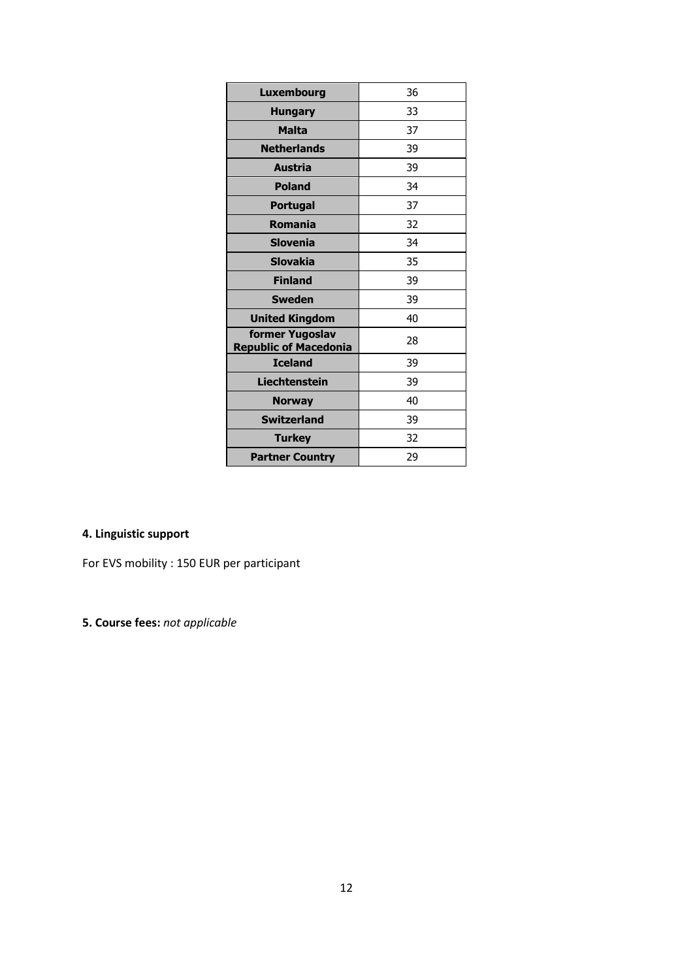| <b>Luxembourg</b>                               | 36 |
|-------------------------------------------------|----|
| <b>Hungary</b>                                  | 33 |
| <b>Malta</b>                                    | 37 |
| <b>Netherlands</b>                              | 39 |
| Austria                                         | 39 |
| <b>Poland</b>                                   | 34 |
| <b>Portugal</b>                                 | 37 |
| <b>Romania</b>                                  | 32 |
| <b>Slovenia</b>                                 | 34 |
| <b>Slovakia</b>                                 | 35 |
| <b>Finland</b>                                  | 39 |
| <b>Sweden</b>                                   | 39 |
| <b>United Kingdom</b>                           | 40 |
| former Yugoslav<br><b>Republic of Macedonia</b> | 28 |
| <b>Iceland</b>                                  | 39 |
| <b>Liechtenstein</b>                            | 39 |
| <b>Norway</b>                                   | 40 |
| <b>Switzerland</b>                              | 39 |
| <b>Turkey</b>                                   | 32 |
| <b>Partner Country</b>                          | 29 |

# **4. Linguistic support**

For EVS mobility : 150 EUR per participant

**5. Course fees:** *not applicable*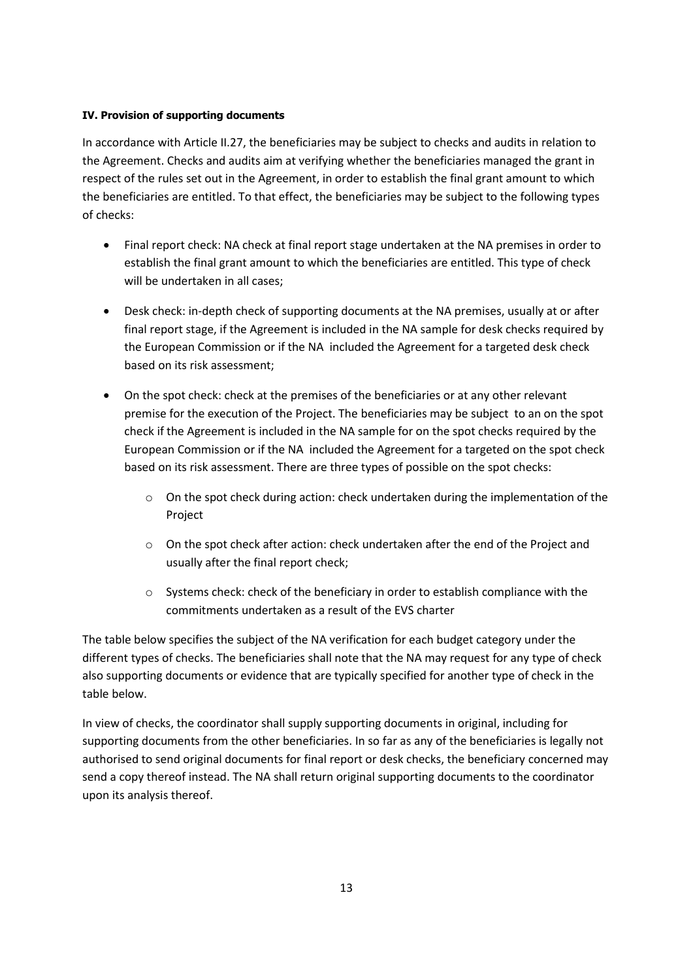### **IV. Provision of supporting documents**

In accordance with Article II.27, the beneficiaries may be subject to checks and audits in relation to the Agreement. Checks and audits aim at verifying whether the beneficiaries managed the grant in respect of the rules set out in the Agreement, in order to establish the final grant amount to which the beneficiaries are entitled. To that effect, the beneficiaries may be subject to the following types of checks:

- Final report check: NA check at final report stage undertaken at the NA premises in order to establish the final grant amount to which the beneficiaries are entitled. This type of check will be undertaken in all cases:
- Desk check: in-depth check of supporting documents at the NA premises, usually at or after final report stage, if the Agreement is included in the NA sample for desk checks required by the European Commission or if the NA included the Agreement for a targeted desk check based on its risk assessment;
- On the spot check: check at the premises of the beneficiaries or at any other relevant premise for the execution of the Project. The beneficiaries may be subject to an on the spot check if the Agreement is included in the NA sample for on the spot checks required by the European Commission or if the NA included the Agreement for a targeted on the spot check based on its risk assessment. There are three types of possible on the spot checks:
	- o On the spot check during action: check undertaken during the implementation of the Project
	- $\circ$  On the spot check after action: check undertaken after the end of the Project and usually after the final report check;
	- $\circ$  Systems check: check of the beneficiary in order to establish compliance with the commitments undertaken as a result of the EVS charter

The table below specifies the subject of the NA verification for each budget category under the different types of checks. The beneficiaries shall note that the NA may request for any type of check also supporting documents or evidence that are typically specified for another type of check in the table below.

In view of checks, the coordinator shall supply supporting documents in original, including for supporting documents from the other beneficiaries. In so far as any of the beneficiaries is legally not authorised to send original documents for final report or desk checks, the beneficiary concerned may send a copy thereof instead. The NA shall return original supporting documents to the coordinator upon its analysis thereof.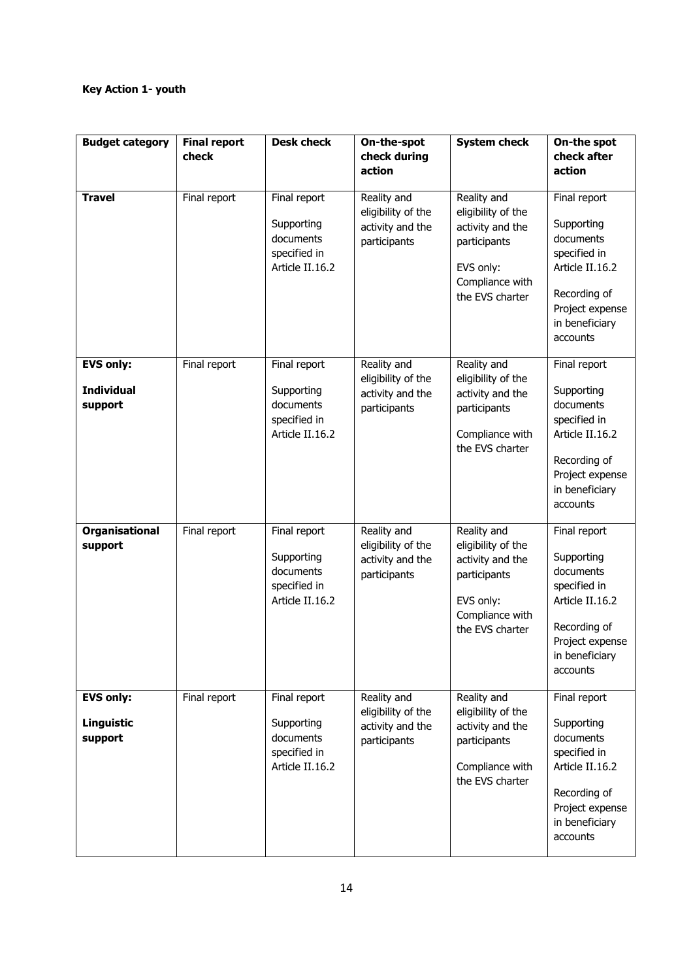## **Key Action 1- youth**

| <b>Budget category</b>                           | <b>Final report</b><br>check | <b>Desk check</b>                                                          | On-the-spot<br>check during                                           | <b>System check</b>                                                                                                      | On-the spot<br>check after                                                                                                                  |
|--------------------------------------------------|------------------------------|----------------------------------------------------------------------------|-----------------------------------------------------------------------|--------------------------------------------------------------------------------------------------------------------------|---------------------------------------------------------------------------------------------------------------------------------------------|
|                                                  |                              |                                                                            | action                                                                |                                                                                                                          | action                                                                                                                                      |
| <b>Travel</b>                                    | Final report                 | Final report<br>Supporting<br>documents<br>specified in<br>Article II.16.2 | Reality and<br>eligibility of the<br>activity and the<br>participants | Reality and<br>eligibility of the<br>activity and the<br>participants<br>EVS only:<br>Compliance with<br>the EVS charter | Final report<br>Supporting<br>documents<br>specified in<br>Article II.16.2<br>Recording of<br>Project expense<br>in beneficiary<br>accounts |
| <b>EVS only:</b><br><b>Individual</b><br>support | Final report                 | Final report<br>Supporting<br>documents<br>specified in<br>Article II.16.2 | Reality and<br>eligibility of the<br>activity and the<br>participants | Reality and<br>eligibility of the<br>activity and the<br>participants<br>Compliance with<br>the EVS charter              | Final report<br>Supporting<br>documents<br>specified in<br>Article II.16.2<br>Recording of<br>Project expense<br>in beneficiary<br>accounts |
| <b>Organisational</b><br>support                 | Final report                 | Final report<br>Supporting<br>documents<br>specified in<br>Article II.16.2 | Reality and<br>eligibility of the<br>activity and the<br>participants | Reality and<br>eligibility of the<br>activity and the<br>participants<br>EVS only:<br>Compliance with<br>the EVS charter | Final report<br>Supporting<br>documents<br>specified in<br>Article II.16.2<br>Recording of<br>Project expense<br>in beneficiary<br>accounts |
| <b>EVS only:</b><br>Linguistic<br>support        | Final report                 | Final report<br>Supporting<br>documents<br>specified in<br>Article II.16.2 | Reality and<br>eligibility of the<br>activity and the<br>participants | Reality and<br>eligibility of the<br>activity and the<br>participants<br>Compliance with<br>the EVS charter              | Final report<br>Supporting<br>documents<br>specified in<br>Article II.16.2<br>Recording of<br>Project expense<br>in beneficiary<br>accounts |